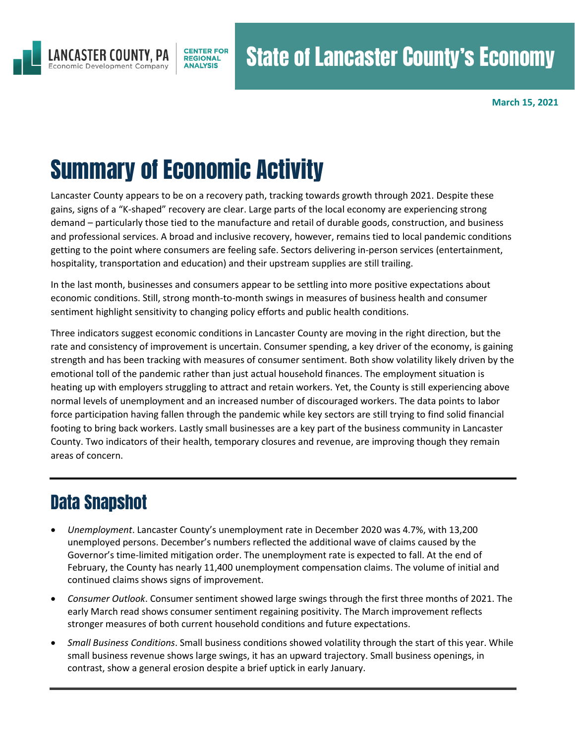

**March 15, 2021**

# Summary of Economic Activity

Lancaster County appears to be on a recovery path, tracking towards growth through 2021. Despite these gains, signs of a "K-shaped" recovery are clear. Large parts of the local economy are experiencing strong demand – particularly those tied to the manufacture and retail of durable goods, construction, and business and professional services. A broad and inclusive recovery, however, remains tied to local pandemic conditions getting to the point where consumers are feeling safe. Sectors delivering in-person services (entertainment, hospitality, transportation and education) and their upstream supplies are still trailing.

In the last month, businesses and consumers appear to be settling into more positive expectations about economic conditions. Still, strong month-to-month swings in measures of business health and consumer sentiment highlight sensitivity to changing policy efforts and public health conditions.

Three indicators suggest economic conditions in Lancaster County are moving in the right direction, but the rate and consistency of improvement is uncertain. Consumer spending, a key driver of the economy, is gaining strength and has been tracking with measures of consumer sentiment. Both show volatility likely driven by the emotional toll of the pandemic rather than just actual household finances. The employment situation is heating up with employers struggling to attract and retain workers. Yet, the County is still experiencing above normal levels of unemployment and an increased number of discouraged workers. The data points to labor force participation having fallen through the pandemic while key sectors are still trying to find solid financial footing to bring back workers. Lastly small businesses are a key part of the business community in Lancaster County. Two indicators of their health, temporary closures and revenue, are improving though they remain areas of concern.

# Data Snapshot

- *Unemployment*. Lancaster County's unemployment rate in December 2020 was 4.7%, with 13,200 unemployed persons. December's numbers reflected the additional wave of claims caused by the Governor's time-limited mitigation order. The unemployment rate is expected to fall. At the end of February, the County has nearly 11,400 unemployment compensation claims. The volume of initial and continued claims shows signs of improvement.
- *Consumer Outlook*. Consumer sentiment showed large swings through the first three months of 2021. The early March read shows consumer sentiment regaining positivity. The March improvement reflects stronger measures of both current household conditions and future expectations.
- *Small Business Conditions*. Small business conditions showed volatility through the start of this year. While small business revenue shows large swings, it has an upward trajectory. Small business openings, in contrast, show a general erosion despite a brief uptick in early January.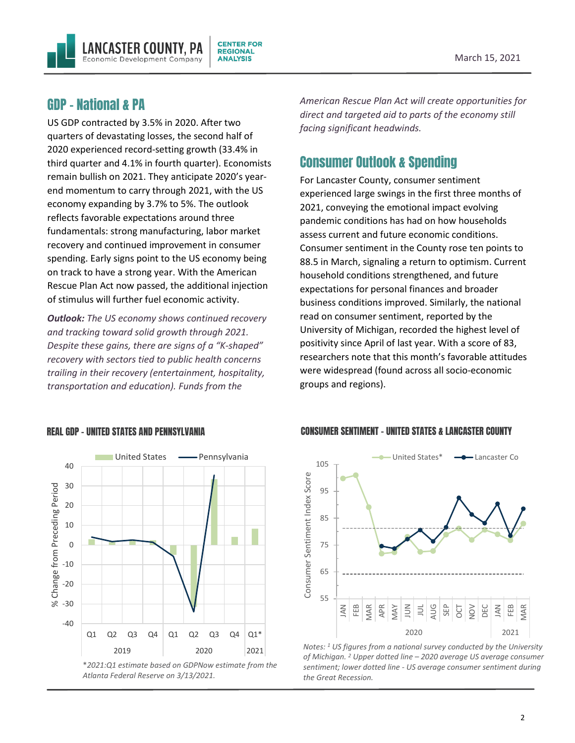

#### GDP – National & PA

US GDP contracted by 3.5% in 2020. After two quarters of devastating losses, the second half of 2020 experienced record-setting growth (33.4% in third quarter and 4.1% in fourth quarter). Economists remain bullish on 2021. They anticipate 2020's yearend momentum to carry through 2021, with the US economy expanding by 3.7% to 5%. The outlook reflects favorable expectations around three fundamentals: strong manufacturing, labor market recovery and continued improvement in consumer spending. Early signs point to the US economy being on track to have a strong year. With the American Rescue Plan Act now passed, the additional injection of stimulus will further fuel economic activity.

*Outlook: The US economy shows continued recovery and tracking toward solid growth through 2021. Despite these gains, there are signs of a "K-shaped" recovery with sectors tied to public health concerns trailing in their recovery (entertainment, hospitality, transportation and education). Funds from the* 

*American Rescue Plan Act will create opportunities for direct and targeted aid to parts of the economy still facing significant headwinds.*

# Consumer Outlook & Spending

For Lancaster County, consumer sentiment experienced large swings in the first three months of 2021, conveying the emotional impact evolving pandemic conditions has had on how households assess current and future economic conditions. Consumer sentiment in the County rose ten points to 88.5 in March, signaling a return to optimism. Current household conditions strengthened, and future expectations for personal finances and broader business conditions improved. Similarly, the national read on consumer sentiment, reported by the University of Michigan, recorded the highest level of positivity since April of last year. With a score of 83, researchers note that this month's favorable attitudes were widespread (found across all socio-economic groups and regions).



#### REAL GDP – UNITED STATES AND PENNSYLVANIA



CONSUMER SENTIMENT – UNITED STATES & LANCASTER COUNTY

*Notes: <sup>1</sup> US figures from a national survey conducted by the University of Michigan. <sup>2</sup> Upper dotted line – 2020 average US average consumer sentiment; lower dotted line - US average consumer sentiment during the Great Recession.*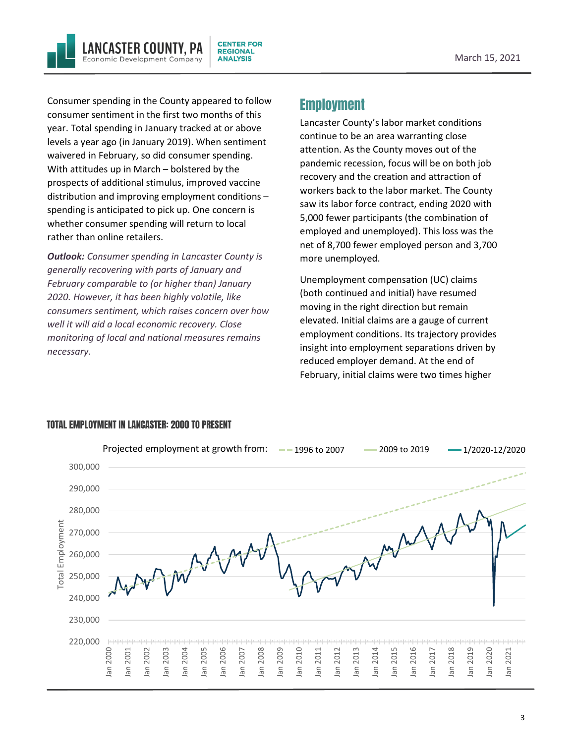Consumer spending in the County appeared to follow consumer sentiment in the first two months of this year. Total spending in January tracked at or above levels a year ago (in January 2019). When sentiment waivered in February, so did consumer spending. With attitudes up in March – bolstered by the prospects of additional stimulus, improved vaccine distribution and improving employment conditions – spending is anticipated to pick up. One concern is whether consumer spending will return to local rather than online retailers.

NCASTER COUNTY. PA

Economic Development Company

*Outlook: Consumer spending in Lancaster County is generally recovering with parts of January and February comparable to (or higher than) January 2020. However, it has been highly volatile, like consumers sentiment, which raises concern over how well it will aid a local economic recovery. Close monitoring of local and national measures remains necessary.* 

# Employment

**CENTER FOR** 

**REGIONAL** 

**ANALYSIS** 

Lancaster County's labor market conditions continue to be an area warranting close attention. As the County moves out of the pandemic recession, focus will be on both job recovery and the creation and attraction of workers back to the labor market. The County saw its labor force contract, ending 2020 with 5,000 fewer participants (the combination of employed and unemployed). This loss was the net of 8,700 fewer employed person and 3,700 more unemployed.

Unemployment compensation (UC) claims (both continued and initial) have resumed moving in the right direction but remain elevated. Initial claims are a gauge of current employment conditions. Its trajectory provides insight into employment separations driven by reduced employer demand. At the end of February, initial claims were two times higher



#### TOTAL EMPLOYMENT IN LANCASTER: 2000 TO PRESENT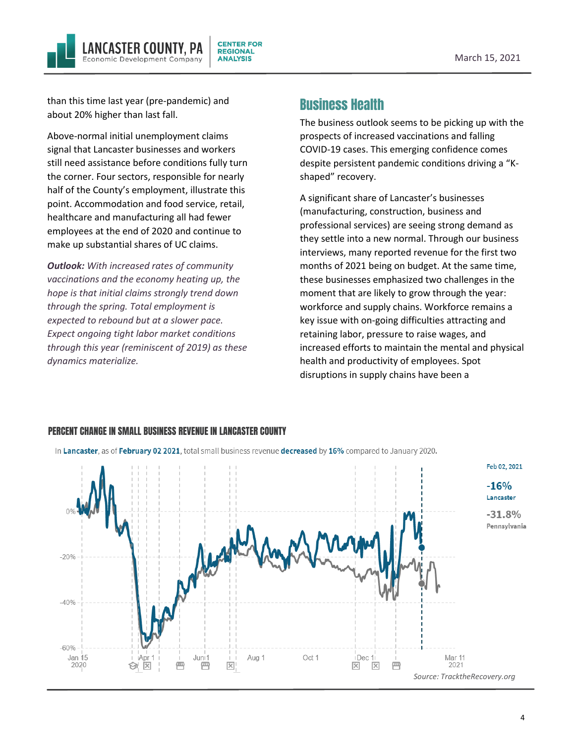

than this time last year (pre-pandemic) and about 20% higher than last fall.

Above-normal initial unemployment claims signal that Lancaster businesses and workers still need assistance before conditions fully turn the corner. Four sectors, responsible for nearly half of the County's employment, illustrate this point. Accommodation and food service, retail, healthcare and manufacturing all had fewer employees at the end of 2020 and continue to make up substantial shares of UC claims.

*Outlook: With increased rates of community vaccinations and the economy heating up, the hope is that initial claims strongly trend down through the spring. Total employment is expected to rebound but at a slower pace. Expect ongoing tight labor market conditions through this year (reminiscent of 2019) as these dynamics materialize.*

### Business Health

The business outlook seems to be picking up with the prospects of increased vaccinations and falling COVID-19 cases. This emerging confidence comes despite persistent pandemic conditions driving a "Kshaped" recovery.

A significant share of Lancaster's businesses (manufacturing, construction, business and professional services) are seeing strong demand as they settle into a new normal. Through our business interviews, many reported revenue for the first two months of 2021 being on budget. At the same time, these businesses emphasized two challenges in the moment that are likely to grow through the year: workforce and supply chains. Workforce remains a key issue with on-going difficulties attracting and retaining labor, pressure to raise wages, and increased efforts to maintain the mental and physical health and productivity of employees. Spot disruptions in supply chains have been a



#### PERCENT CHANGE IN SMALL BUSINESS REVENUE IN LANCASTER COUNTY